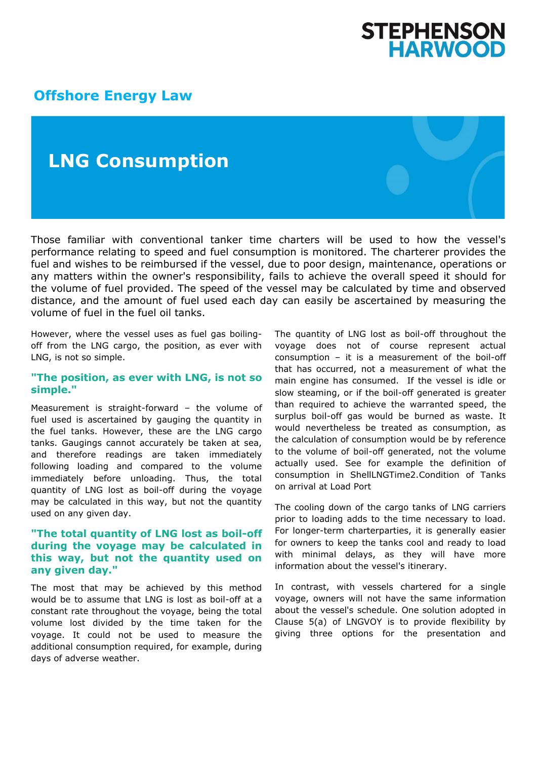# STEPHENSON<br>HARWOOD

#### **[Offshore Energy Law](http://www.offshoreenergylaw.com/)**

### **LNG Consumption**

Those familiar with conventional tanker time charters will be used to how the vessel's performance relating to speed and fuel consumption is monitored. The charterer provides the fuel and wishes to be reimbursed if the vessel, due to poor design, maintenance, operations or any matters within the owner's responsibility, fails to achieve the overall speed it should for the volume of fuel provided. The speed of the vessel may be calculated by time and observed distance, and the amount of fuel used each day can easily be ascertained by measuring the volume of fuel in the fuel oil tanks.

However, where the vessel uses as fuel gas boilingoff from the LNG cargo, the position, as ever with LNG, is not so simple.

#### **"The position, as ever with LNG, is not so simple."**

Measurement is straight-forward – the volume of fuel used is ascertained by gauging the quantity in the fuel tanks. However, these are the LNG cargo tanks. Gaugings cannot accurately be taken at sea, and therefore readings are taken immediately following loading and compared to the volume immediately before unloading. Thus, the total quantity of LNG lost as boil-off during the voyage may be calculated in this way, but not the quantity used on any given day.

#### **"The total quantity of LNG lost as boil-off during the voyage may be calculated in this way, but not the quantity used on any given day."**

The most that may be achieved by this method would be to assume that LNG is lost as boil-off at a constant rate throughout the voyage, being the total volume lost divided by the time taken for the voyage. It could not be used to measure the additional consumption required, for example, during days of adverse weather.

The quantity of LNG lost as boil-off throughout the voyage does not of course represent actual consumption – it is a measurement of the boil-off that has occurred, not a measurement of what the main engine has consumed. If the vessel is idle or slow steaming, or if the boil-off generated is greater than required to achieve the warranted speed, the surplus boil-off gas would be burned as waste. It would nevertheless be treated as consumption, as the calculation of consumption would be by reference to the volume of boil-off generated, not the volume actually used. See for example the definition of consumption in ShellLNGTime2.Condition of Tanks on arrival at Load Port

The cooling down of the cargo tanks of LNG carriers prior to loading adds to the time necessary to load. For longer-term charterparties, it is generally easier for owners to keep the tanks cool and ready to load with minimal delays, as they will have more information about the vessel's itinerary.

In contrast, with vessels chartered for a single voyage, owners will not have the same information about the vessel's schedule. One solution adopted in Clause 5(a) of LNGVOY is to provide flexibility by giving three options for the presentation and